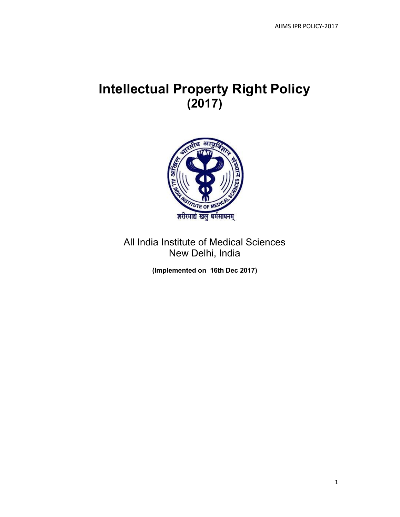# Intellectual Property Right Policy (2017)



All India Institute of Medical Sciences New Delhi, India

(Implemented on 16th Dec 2017)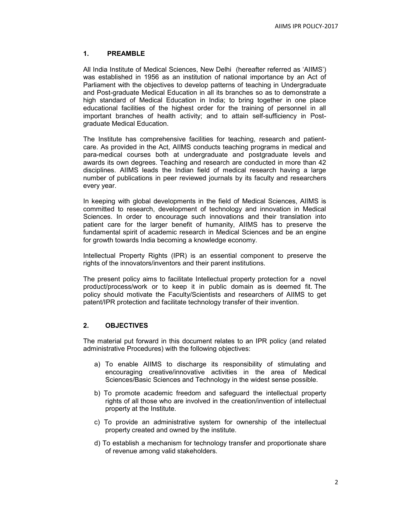# 1. PREAMBLE

All India Institute of Medical Sciences, New Delhi (hereafter referred as 'AIIMS') was established in 1956 as an institution of national importance by an Act of Parliament with the objectives to develop patterns of teaching in Undergraduate and Post-graduate Medical Education in all its branches so as to demonstrate a high standard of Medical Education in India; to bring together in one place educational facilities of the highest order for the training of personnel in all important branches of health activity; and to attain self-sufficiency in Postgraduate Medical Education.

The Institute has comprehensive facilities for teaching, research and patientcare. As provided in the Act, AIIMS conducts teaching programs in medical and para-medical courses both at undergraduate and postgraduate levels and awards its own degrees. Teaching and research are conducted in more than 42 disciplines. AIIMS leads the Indian field of medical research having a large number of publications in peer reviewed journals by its faculty and researchers every year.

In keeping with global developments in the field of Medical Sciences, AIIMS is committed to research, development of technology and innovation in Medical Sciences. In order to encourage such innovations and their translation into patient care for the larger benefit of humanity, AIIMS has to preserve the fundamental spirit of academic research in Medical Sciences and be an engine for growth towards India becoming a knowledge economy.

Intellectual Property Rights (IPR) is an essential component to preserve the rights of the innovators/inventors and their parent institutions.

The present policy aims to facilitate Intellectual property protection for a novel product/process/work or to keep it in public domain as is deemed fit. The policy should motivate the Faculty/Scientists and researchers of AIIMS to get patent/IPR protection and facilitate technology transfer of their invention.

# 2. OBJECTIVES

The material put forward in this document relates to an IPR policy (and related administrative Procedures) with the following objectives:

- a) To enable AIIMS to discharge its responsibility of stimulating and encouraging creative/innovative activities in the area of Medical Sciences/Basic Sciences and Technology in the widest sense possible.
- b) To promote academic freedom and safeguard the intellectual property rights of all those who are involved in the creation/invention of intellectual property at the Institute.
- c) To provide an administrative system for ownership of the intellectual property created and owned by the institute.
- d) To establish a mechanism for technology transfer and proportionate share of revenue among valid stakeholders.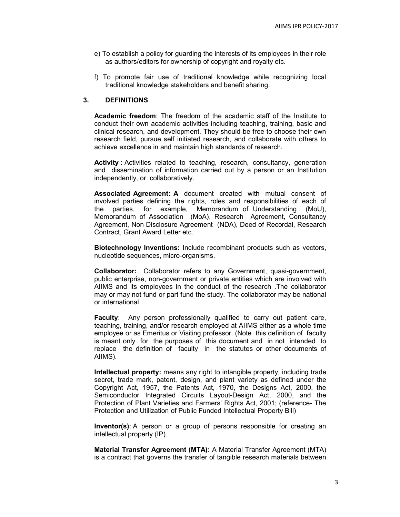- e) To establish a policy for guarding the interests of its employees in their role as authors/editors for ownership of copyright and royalty etc.
- f) To promote fair use of traditional knowledge while recognizing local traditional knowledge stakeholders and benefit sharing.

# 3. DEFINITIONS

Academic freedom: The freedom of the academic staff of the Institute to conduct their own academic activities including teaching, training, basic and clinical research, and development. They should be free to choose their own research field, pursue self initiated research, and collaborate with others to achieve excellence in and maintain high standards of research.

Activity : Activities related to teaching, research, consultancy, generation and dissemination of information carried out by a person or an Institution independently, or collaboratively.

Associated Agreement: A document created with mutual consent of involved parties defining the rights, roles and responsibilities of each of the parties, for example, Memorandum of Understanding (MoU), Memorandum of Association (MoA), Research Agreement, Consultancy Agreement, Non Disclosure Agreement (NDA), Deed of Recordal, Research Contract, Grant Award Letter etc.

Biotechnology Inventions: Include recombinant products such as vectors, nucleotide sequences, micro-organisms.

Collaborator: Collaborator refers to any Government, quasi-government, public enterprise, non-government or private entities which are involved with AIIMS and its employees in the conduct of the research .The collaborator may or may not fund or part fund the study. The collaborator may be national or international

Faculty: Any person professionally qualified to carry out patient care, teaching, training, and/or research employed at AIIMS either as a whole time employee or as Emeritus or Visiting professor. (Note this definition of faculty is meant only for the purposes of this document and in not intended to replace the definition of faculty in the statutes or other documents of AIIMS).

Intellectual property: means any right to intangible property, including trade secret, trade mark, patent, design, and plant variety as defined under the Copyright Act, 1957, the Patents Act, 1970, the Designs Act, 2000, the Semiconductor Integrated Circuits Layout-Design Act, 2000, and the Protection of Plant Varieties and Farmers' Rights Act, 2001; (reference- The Protection and Utilization of Public Funded Intellectual Property Bill)

Inventor(s): A person or a group of persons responsible for creating an intellectual property (IP).

Material Transfer Agreement (MTA): A Material Transfer Agreement (MTA) is a contract that governs the transfer of tangible research materials between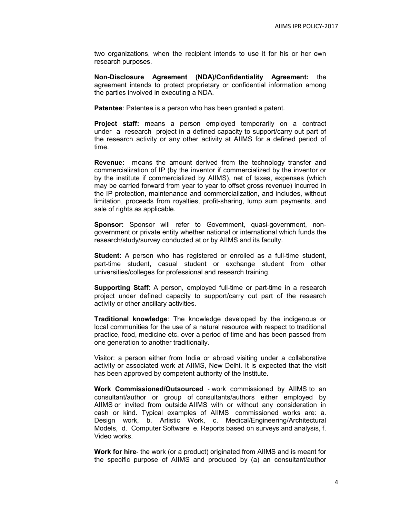two organizations, when the recipient intends to use it for his or her own research purposes.

Non-Disclosure Agreement (NDA)/Confidentiality Agreement: the agreement intends to protect proprietary or confidential information among the parties involved in executing a NDA.

Patentee: Patentee is a person who has been granted a patent.

Project staff: means a person employed temporarily on a contract under a research project in a defined capacity to support/carry out part of the research activity or any other activity at AIIMS for a defined period of time.

Revenue: means the amount derived from the technology transfer and commercialization of IP (by the inventor if commercialized by the inventor or by the institute if commercialized by AIIMS), net of taxes, expenses (which may be carried forward from year to year to offset gross revenue) incurred in the IP protection, maintenance and commercialization, and includes, without limitation, proceeds from royalties, profit-sharing, lump sum payments, and sale of rights as applicable.

Sponsor: Sponsor will refer to Government, quasi-government, nongovernment or private entity whether national or international which funds the research/study/survey conducted at or by AIIMS and its faculty.

**Student:** A person who has registered or enrolled as a full-time student, part-time student, casual student or exchange student from other universities/colleges for professional and research training.

**Supporting Staff:** A person, employed full-time or part-time in a research project under defined capacity to support/carry out part of the research activity or other ancillary activities.

Traditional knowledge: The knowledge developed by the indigenous or local communities for the use of a natural resource with respect to traditional practice, food, medicine etc. over a period of time and has been passed from one generation to another traditionally.

Visitor: a person either from India or abroad visiting under a collaborative activity or associated work at AIIMS, New Delhi. It is expected that the visit has been approved by competent authority of the Institute.

Work Commissioned/Outsourced - work commissioned by AIIMS to an consultant/author or group of consultants/authors either employed by AIIMS or invited from outside AIIMS with or without any consideration in cash or kind. Typical examples of AIIMS commissioned works are: a. Design work, b. Artistic Work, c. Medical/Engineering/Architectural Models, d. Computer Software e. Reports based on surveys and analysis, f. Video works.

Work for hire- the work (or a product) originated from AIIMS and is meant for the specific purpose of AIIMS and produced by (a) an consultant/author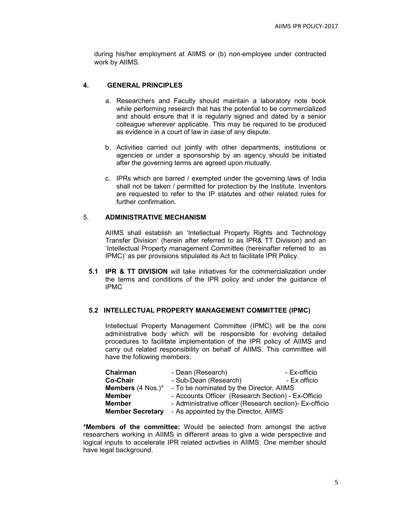during his/her employment at AIIMS or (b) non-employee under contracted work by AIIMS.

# 4. GENERAL PRINCIPLES

- a. Researchers and Faculty should maintain a laboratory note book while performing research that has the potential to be commercialized and should ensure that it is regularly signed and dated by a senior colleague wherever applicable. This may be required to be produced as evidence in a court of law in case of any dispute.
- b. Activities carried out jointly with other departments, institutions or agencies or under a sponsorship by an agency should be initiated after the governing terms are agreed upon mutually.
- c. IPRs which are barred / exempted under the governing laws of India shall not be taken / permitted for protection by the Institute. Inventors are requested to refer to the IP statutes and other related rules for further confirmation.

# 5. ADMINISTRATIVE MECHANISM

AIIMS shall establish an 'Intellectual Property Rights and Technology Transfer Division' (herein after referred to as IPR& TT Division) and an 'Intellectual Property management Committee (hereinafter referred to as IPMC)' as per provisions stipulated its Act to facilitate IPR Policy.

**5.1 IPR & TT DIVISION** will take initiatives for the commercialization under the terms and conditions of the IPR policy and under the guidance of IPMC

# 5.2 INTELLECTUAL PROPERTY MANAGEMENT COMMITTEE (IPMC)

Intellectual Property Management Committee (IPMC) will be the core administrative body which will be responsible for evolving detailed procedures to facilitate implementation of the IPR policy of AIIMS and carry out related responsibility on behalf of AIIMS. This committee will have the following members:

| Chairman                            | - Dean (Research)                                       | - Ex-officio |
|-------------------------------------|---------------------------------------------------------|--------------|
| Co-Chair                            | - Sub-Dean (Research)                                   | - Ex officio |
| <b>Members</b> $(4 \text{ Nos.})^*$ | - To be nominated by the Director, AIIMS                |              |
| <b>Member</b>                       | - Accounts Officer (Research Section) - Ex-Officio      |              |
| <b>Member</b>                       | - Administrative officer (Research section)- Ex-officio |              |
| <b>Member Secretary</b>             | - As appointed by the Director, AIIMS                   |              |

\*Members of the committee: Would be selected from amongst the active researchers working in AIIMS in different areas to give a wide perspective and logical inputs to accelerate IPR related activities in AIIMS. One member should have legal background.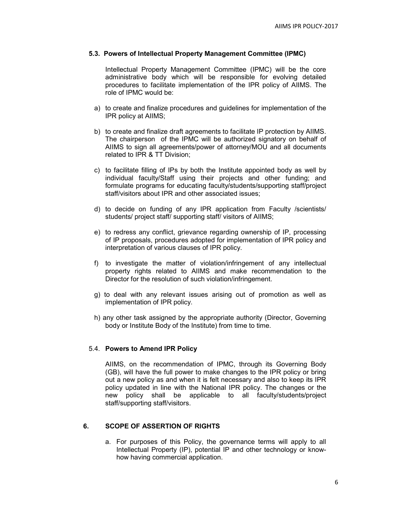## 5.3. Powers of Intellectual Property Management Committee (IPMC)

Intellectual Property Management Committee (IPMC) will be the core administrative body which will be responsible for evolving detailed procedures to facilitate implementation of the IPR policy of AIIMS. The role of IPMC would be:

- a) to create and finalize procedures and guidelines for implementation of the IPR policy at AIIMS;
- b) to create and finalize draft agreements to facilitate IP protection by AIIMS. The chairperson of the IPMC will be authorized signatory on behalf of AIIMS to sign all agreements/power of attorney/MOU and all documents related to IPR & TT Division;
- c) to facilitate filling of IPs by both the Institute appointed body as well by individual faculty/Staff using their projects and other funding; and formulate programs for educating faculty/students/supporting staff/project staff/visitors about IPR and other associated issues;
- d) to decide on funding of any IPR application from Faculty /scientists/ students/ project staff/ supporting staff/ visitors of AIIMS;
- e) to redress any conflict, grievance regarding ownership of IP, processing of IP proposals, procedures adopted for implementation of IPR policy and interpretation of various clauses of IPR policy.
- f) to investigate the matter of violation/infringement of any intellectual property rights related to AIIMS and make recommendation to the Director for the resolution of such violation/infringement.
- g) to deal with any relevant issues arising out of promotion as well as implementation of IPR policy.
- h) any other task assigned by the appropriate authority (Director, Governing body or Institute Body of the Institute) from time to time.

### 5.4. Powers to Amend IPR Policy

AIIMS, on the recommendation of IPMC, through its Governing Body (GB), will have the full power to make changes to the IPR policy or bring out a new policy as and when it is felt necessary and also to keep its IPR policy updated in line with the National IPR policy. The changes or the new policy shall be applicable to all faculty/students/project staff/supporting staff/visitors.

### 6. SCOPE OF ASSERTION OF RIGHTS

a. For purposes of this Policy, the governance terms will apply to all Intellectual Property (IP), potential IP and other technology or knowhow having commercial application.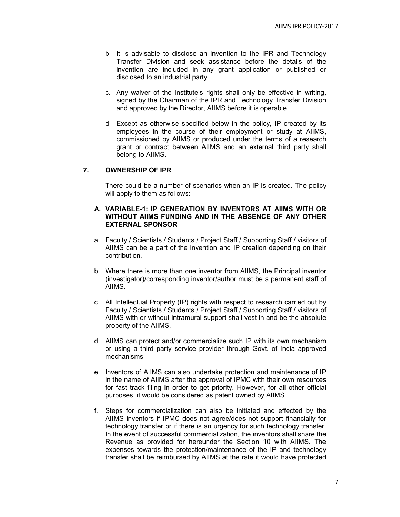- b. It is advisable to disclose an invention to the IPR and Technology Transfer Division and seek assistance before the details of the invention are included in any grant application or published or disclosed to an industrial party.
- c. Any waiver of the Institute's rights shall only be effective in writing, signed by the Chairman of the IPR and Technology Transfer Division and approved by the Director, AIIMS before it is operable.
- d. Except as otherwise specified below in the policy, IP created by its employees in the course of their employment or study at AIIMS, commissioned by AIIMS or produced under the terms of a research grant or contract between AIIMS and an external third party shall belong to AIIMS.

## 7. OWNERSHIP OF IPR

There could be a number of scenarios when an IP is created. The policy will apply to them as follows:

## A. VARIABLE-1: IP GENERATION BY INVENTORS AT AIIMS WITH OR WITHOUT AIIMS FUNDING AND IN THE ABSENCE OF ANY OTHER EXTERNAL SPONSOR

- a. Faculty / Scientists / Students / Project Staff / Supporting Staff / visitors of AIIMS can be a part of the invention and IP creation depending on their contribution.
- b. Where there is more than one inventor from AIIMS, the Principal inventor (investigator)/corresponding inventor/author must be a permanent staff of AIIMS.
- c. All Intellectual Property (IP) rights with respect to research carried out by Faculty / Scientists / Students / Project Staff / Supporting Staff / visitors of AIIMS with or without intramural support shall vest in and be the absolute property of the AIIMS.
- d. AIIMS can protect and/or commercialize such IP with its own mechanism or using a third party service provider through Govt. of India approved mechanisms.
- e. Inventors of AIIMS can also undertake protection and maintenance of IP in the name of AIIMS after the approval of IPMC with their own resources for fast track filing in order to get priority. However, for all other official purposes, it would be considered as patent owned by AIIMS.
- f. Steps for commercialization can also be initiated and effected by the AIIMS inventors if IPMC does not agree/does not support financially for technology transfer or if there is an urgency for such technology transfer. In the event of successful commercialization, the inventors shall share the Revenue as provided for hereunder the Section 10 with AIIMS. The expenses towards the protection/maintenance of the IP and technology transfer shall be reimbursed by AIIMS at the rate it would have protected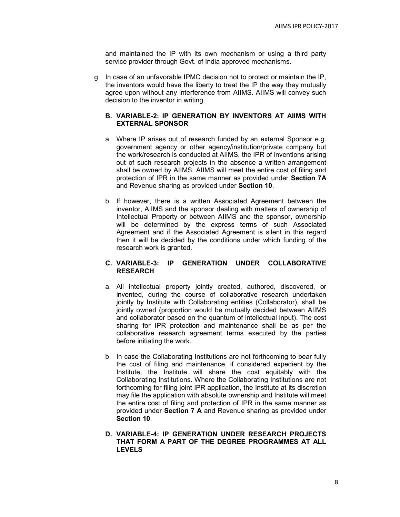and maintained the IP with its own mechanism or using a third party service provider through Govt. of India approved mechanisms.

g. In case of an unfavorable IPMC decision not to protect or maintain the IP, the inventors would have the liberty to treat the IP the way they mutually agree upon without any interference from AIIMS. AIIMS will convey such decision to the inventor in writing.

## B. VARIABLE-2: IP GENERATION BY INVENTORS AT AIIMS WITH EXTERNAL SPONSOR

- a. Where IP arises out of research funded by an external Sponsor e.g. government agency or other agency/institution/private company but the work/research is conducted at AIIMS, the IPR of inventions arising out of such research projects in the absence a written arrangement shall be owned by AIIMS. AIIMS will meet the entire cost of filing and protection of IPR in the same manner as provided under Section 7A and Revenue sharing as provided under Section 10.
- b. If however, there is a written Associated Agreement between the inventor, AIIMS and the sponsor dealing with matters of ownership of Intellectual Property or between AIIMS and the sponsor, ownership will be determined by the express terms of such Associated Agreement and if the Associated Agreement is silent in this regard then it will be decided by the conditions under which funding of the research work is granted.

## C. VARIABLE-3: IP GENERATION UNDER COLLABORATIVE RESEARCH

- a. All intellectual property jointly created, authored, discovered, or invented, during the course of collaborative research undertaken jointly by Institute with Collaborating entities (Collaborator), shall be jointly owned (proportion would be mutually decided between AIIMS and collaborator based on the quantum of intellectual input). The cost sharing for IPR protection and maintenance shall be as per the collaborative research agreement terms executed by the parties before initiating the work.
- b. In case the Collaborating Institutions are not forthcoming to bear fully the cost of filing and maintenance, if considered expedient by the Institute, the Institute will share the cost equitably with the Collaborating Institutions. Where the Collaborating Institutions are not forthcoming for filing joint IPR application, the Institute at its discretion may file the application with absolute ownership and Institute will meet the entire cost of filing and protection of IPR in the same manner as provided under Section 7 A and Revenue sharing as provided under Section 10.
- D. VARIABLE-4: IP GENERATION UNDER RESEARCH PROJECTS THAT FORM A PART OF THE DEGREE PROGRAMMES AT ALL LEVELS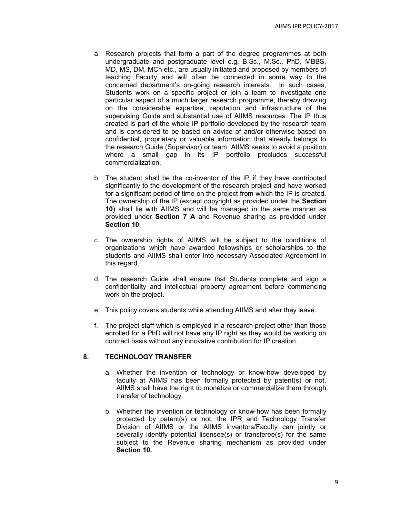- a. Research projects that form a part of the degree programmes at both undergraduate and postgraduate level e.g. B.Sc., M.Sc., PhD, MBBS, MD, MS, DM, MCh etc., are usually initiated and proposed by members of teaching Faculty and will often be connected in some way to the concerned department's on-going research interests. In such cases, Students work on a specific project or join a team to investigate one particular aspect of a much larger research programme, thereby drawing on the considerable expertise, reputation and infrastructure of the supervising Guide and substantial use of AIIMS resources. The IP thus created is part of the whole IP portfolio developed by the research team and is considered to be based on advice of and/or otherwise based on confidential, proprietary or valuable information that already belongs to the research Guide (Supervisor) or team. AIIMS seeks to avoid a position where a small gap in its IP portfolio precludes successful commercialization.
- b. The student shall be the co-inventor of the IP if they have contributed significantly to the development of the research project and have worked for a significant period of time on the project from which the IP is created. The ownership of the IP (except copyright as provided under the Section 10) shall lie with AIIMS and will be managed in the same manner as provided under Section 7 A and Revenue sharing as provided under Section 10.
- c. The ownership rights of AIIMS will be subject to the conditions of organizations which have awarded fellowships or scholarships to the students and AIIMS shall enter into necessary Associated Agreement in this regard.
- d. The research Guide shall ensure that Students complete and sign a confidentiality and intellectual property agreement before commencing work on the project.
- e. This policy covers students while attending AIIMS and after they leave.
- f. The project staff which is employed in a research project other than those enrolled for a PhD will not have any IP right as they would be working on contract basis without any innovative contribution for IP creation.

# 8. TECHNOLOGY TRANSFER

- a. Whether the invention or technology or know-how developed by faculty at AIIMS has been formally protected by patent(s) or not, AIIMS shall have the right to monetize or commercialize them through transfer of technology.
- b. Whether the invention or technology or know-how has been formally protected by patent(s) or not, the IPR and Technology Transfer Division of AIIMS or the AIIMS inventors/Faculty can jointly or severally identify potential licensee(s) or transferee(s) for the same subject to the Revenue sharing mechanism as provided under Section 10.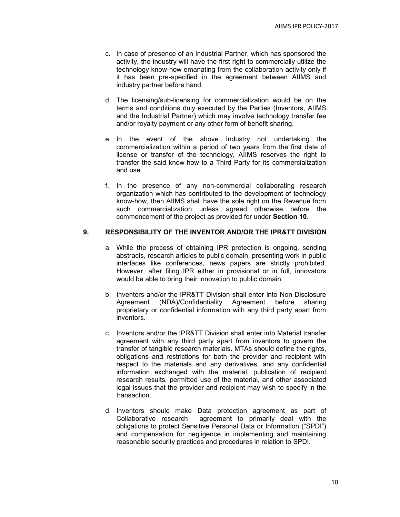- c. In case of presence of an Industrial Partner, which has sponsored the activity, the industry will have the first right to commercially utilize the technology know-how emanating from the collaboration activity only if it has been pre-specified in the agreement between AIIMS and industry partner before hand.
- d. The licensing/sub-licensing for commercialization would be on the terms and conditions duly executed by the Parties (Inventors, AIIMS and the Industrial Partner) which may involve technology transfer fee and/or royalty payment or any other form of benefit sharing.
- e. In the event of the above Industry not undertaking the commercialization within a period of two years from the first date of license or transfer of the technology, AIIMS reserves the right to transfer the said know-how to a Third Party for its commercialization and use.
- f. In the presence of any non-commercial collaborating research organization which has contributed to the development of technology know-how, then AIIMS shall have the sole right on the Revenue from such commercialization unless agreed otherwise before the commencement of the project as provided for under Section 10.

# 9. RESPONSIBILITY OF THE INVENTOR AND/OR THE IPR&TT DIVISION

- a. While the process of obtaining IPR protection is ongoing, sending abstracts, research articles to public domain, presenting work in public interfaces like conferences, news papers are strictly prohibited. However, after filing IPR either in provisional or in full, innovators would be able to bring their innovation to public domain.
- b. Inventors and/or the IPR&TT Division shall enter into Non Disclosure Agreement (NDA)/Confidentiality Agreement before sharing proprietary or confidential information with any third party apart from inventors.
- c. Inventors and/or the IPR&TT Division shall enter into Material transfer agreement with any third party apart from inventors to govern the transfer of tangible research materials. MTAs should define the rights, obligations and restrictions for both the provider and recipient with respect to the materials and any derivatives, and any confidential information exchanged with the material, publication of recipient research results, permitted use of the material, and other associated legal issues that the provider and recipient may wish to specify in the transaction.
- d. Inventors should make Data protection agreement as part of Collaborative research agreement to primarily deal with the obligations to protect Sensitive Personal Data or Information ("SPDI") and compensation for negligence in implementing and maintaining reasonable security practices and procedures in relation to SPDI.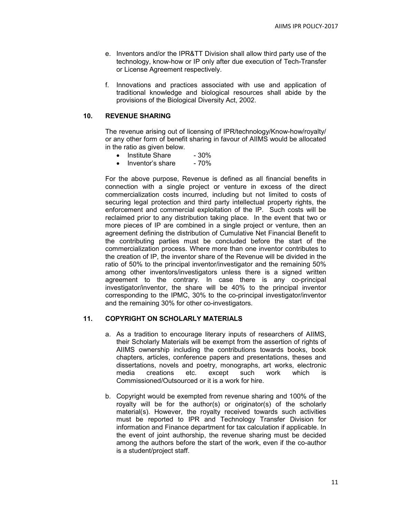- e. Inventors and/or the IPR&TT Division shall allow third party use of the technology, know-how or IP only after due execution of Tech-Transfer or License Agreement respectively.
- f. Innovations and practices associated with use and application of traditional knowledge and biological resources shall abide by the provisions of the Biological Diversity Act, 2002.

## 10. REVENUE SHARING

The revenue arising out of licensing of IPR/technology/Know-how/royalty/ or any other form of benefit sharing in favour of AIIMS would be allocated in the ratio as given below.

- Institute Share 30%
- Inventor's share 70%

For the above purpose, Revenue is defined as all financial benefits in connection with a single project or venture in excess of the direct commercialization costs incurred, including but not limited to costs of securing legal protection and third party intellectual property rights, the enforcement and commercial exploitation of the IP. Such costs will be reclaimed prior to any distribution taking place. In the event that two or more pieces of IP are combined in a single project or venture, then an agreement defining the distribution of Cumulative Net Financial Benefit to the contributing parties must be concluded before the start of the commercialization process. Where more than one inventor contributes to the creation of IP, the inventor share of the Revenue will be divided in the ratio of 50% to the principal inventor/investigator and the remaining 50% among other inventors/investigators unless there is a signed written agreement to the contrary. In case there is any co-principal investigator/inventor, the share will be 40% to the principal inventor corresponding to the IPMC, 30% to the co-principal investigator/inventor and the remaining 30% for other co-investigators.

### 11. COPYRIGHT ON SCHOLARLY MATERIALS

- a. As a tradition to encourage literary inputs of researchers of AIIMS, their Scholarly Materials will be exempt from the assertion of rights of AIIMS ownership including the contributions towards books, book chapters, articles, conference papers and presentations, theses and dissertations, novels and poetry, monographs, art works, electronic media creations etc. except such work which is Commissioned/Outsourced or it is a work for hire.
- b. Copyright would be exempted from revenue sharing and 100% of the royalty will be for the author(s) or originator(s) of the scholarly material(s). However, the royalty received towards such activities must be reported to IPR and Technology Transfer Division for information and Finance department for tax calculation if applicable. In the event of joint authorship, the revenue sharing must be decided among the authors before the start of the work, even if the co-author is a student/project staff.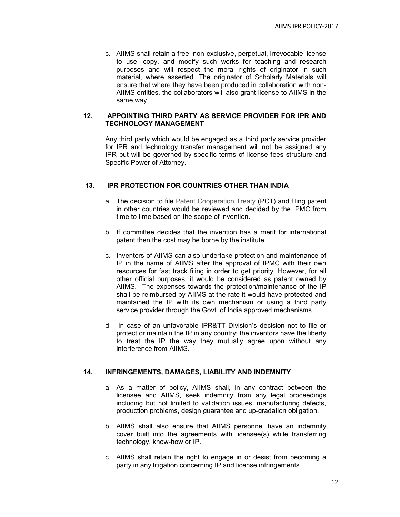c. AIIMS shall retain a free, non-exclusive, perpetual, irrevocable license to use, copy, and modify such works for teaching and research purposes and will respect the moral rights of originator in such material, where asserted. The originator of Scholarly Materials will ensure that where they have been produced in collaboration with non-AIIMS entities, the collaborators will also grant license to AIIMS in the same way.

### 12. APPOINTING THIRD PARTY AS SERVICE PROVIDER FOR IPR AND TECHNOLOGY MANAGEMENT

Any third party which would be engaged as a third party service provider for IPR and technology transfer management will not be assigned any IPR but will be governed by specific terms of license fees structure and Specific Power of Attorney.

## 13. IPR PROTECTION FOR COUNTRIES OTHER THAN INDIA

- a. The decision to file Patent Cooperation Treaty (PCT) and filing patent in other countries would be reviewed and decided by the IPMC from time to time based on the scope of invention.
- b. If committee decides that the invention has a merit for international patent then the cost may be borne by the institute.
- c. Inventors of AIIMS can also undertake protection and maintenance of IP in the name of AIIMS after the approval of IPMC with their own resources for fast track filing in order to get priority. However, for all other official purposes, it would be considered as patent owned by AIIMS. The expenses towards the protection/maintenance of the IP shall be reimbursed by AIIMS at the rate it would have protected and maintained the IP with its own mechanism or using a third party service provider through the Govt. of India approved mechanisms.
- d. In case of an unfavorable IPR&TT Division's decision not to file or protect or maintain the IP in any country; the inventors have the liberty to treat the IP the way they mutually agree upon without any interference from AIIMS.

### 14. INFRINGEMENTS, DAMAGES, LIABILITY AND INDEMNITY

- a. As a matter of policy, AIIMS shall, in any contract between the licensee and AIIMS, seek indemnity from any legal proceedings including but not limited to validation issues, manufacturing defects, production problems, design guarantee and up-gradation obligation.
- b. AIIMS shall also ensure that AIIMS personnel have an indemnity cover built into the agreements with licensee(s) while transferring technology, know-how or IP.
- c. AIIMS shall retain the right to engage in or desist from becoming a party in any litigation concerning IP and license infringements.